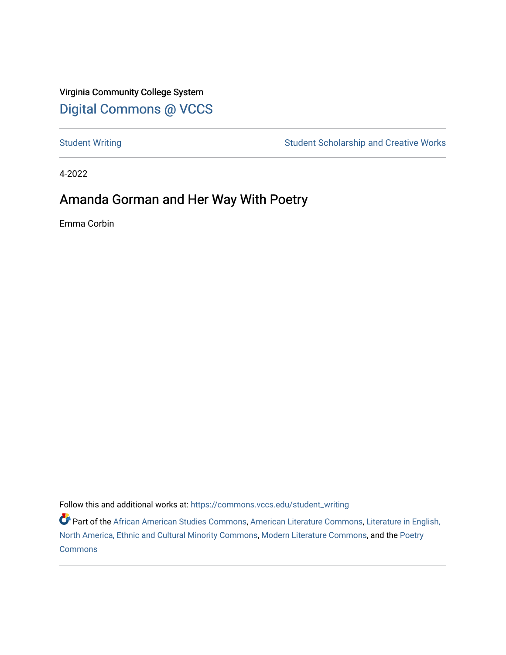Virginia Community College System [Digital Commons @ VCCS](https://commons.vccs.edu/)

[Student Writing](https://commons.vccs.edu/student_writing) Student Scholarship and Creative Works

4-2022

# Amanda Gorman and Her Way With Poetry

Emma Corbin

Follow this and additional works at: [https://commons.vccs.edu/student\\_writing](https://commons.vccs.edu/student_writing?utm_source=commons.vccs.edu%2Fstudent_writing%2F55&utm_medium=PDF&utm_campaign=PDFCoverPages) 

**P** Part of the [African American Studies Commons,](http://network.bepress.com/hgg/discipline/567?utm_source=commons.vccs.edu%2Fstudent_writing%2F55&utm_medium=PDF&utm_campaign=PDFCoverPages) [American Literature Commons](http://network.bepress.com/hgg/discipline/441?utm_source=commons.vccs.edu%2Fstudent_writing%2F55&utm_medium=PDF&utm_campaign=PDFCoverPages), Literature in English, [North America, Ethnic and Cultural Minority Commons,](http://network.bepress.com/hgg/discipline/459?utm_source=commons.vccs.edu%2Fstudent_writing%2F55&utm_medium=PDF&utm_campaign=PDFCoverPages) [Modern Literature Commons](http://network.bepress.com/hgg/discipline/1050?utm_source=commons.vccs.edu%2Fstudent_writing%2F55&utm_medium=PDF&utm_campaign=PDFCoverPages), and the [Poetry](http://network.bepress.com/hgg/discipline/1153?utm_source=commons.vccs.edu%2Fstudent_writing%2F55&utm_medium=PDF&utm_campaign=PDFCoverPages)  [Commons](http://network.bepress.com/hgg/discipline/1153?utm_source=commons.vccs.edu%2Fstudent_writing%2F55&utm_medium=PDF&utm_campaign=PDFCoverPages)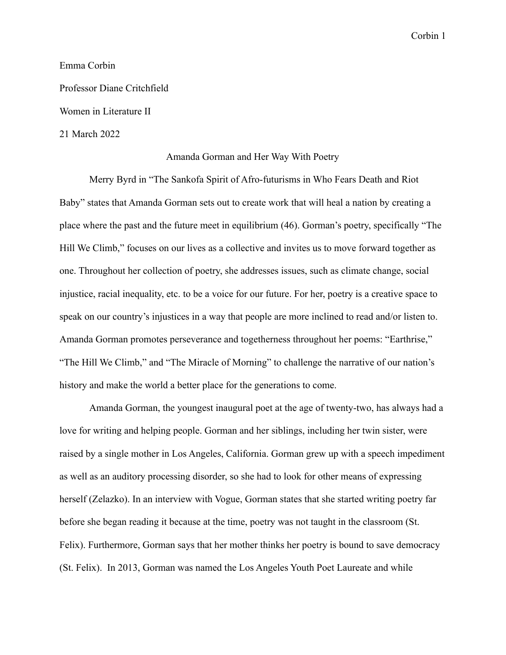#### Emma Corbin

Professor Diane Critchfield

Women in Literature II

#### 21 March 2022

#### Amanda Gorman and Her Way With Poetry

Merry Byrd in "The Sankofa Spirit of Afro-futurisms in Who Fears Death and Riot Baby" states that Amanda Gorman sets out to create work that will heal a nation by creating a place where the past and the future meet in equilibrium (46). Gorman's poetry, specifically "The Hill We Climb," focuses on our lives as a collective and invites us to move forward together as one. Throughout her collection of poetry, she addresses issues, such as climate change, social injustice, racial inequality, etc. to be a voice for our future. For her, poetry is a creative space to speak on our country's injustices in a way that people are more inclined to read and/or listen to. Amanda Gorman promotes perseverance and togetherness throughout her poems: "Earthrise," "The Hill We Climb," and "The Miracle of Morning" to challenge the narrative of our nation's history and make the world a better place for the generations to come.

Amanda Gorman, the youngest inaugural poet at the age of twenty-two, has always had a love for writing and helping people. Gorman and her siblings, including her twin sister, were raised by a single mother in Los Angeles, California. Gorman grew up with a speech impediment as well as an auditory processing disorder, so she had to look for other means of expressing herself (Zelazko). In an interview with Vogue, Gorman states that she started writing poetry far before she began reading it because at the time, poetry was not taught in the classroom (St. Felix). Furthermore, Gorman says that her mother thinks her poetry is bound to save democracy (St. Felix). In 2013, Gorman was named the Los Angeles Youth Poet Laureate and while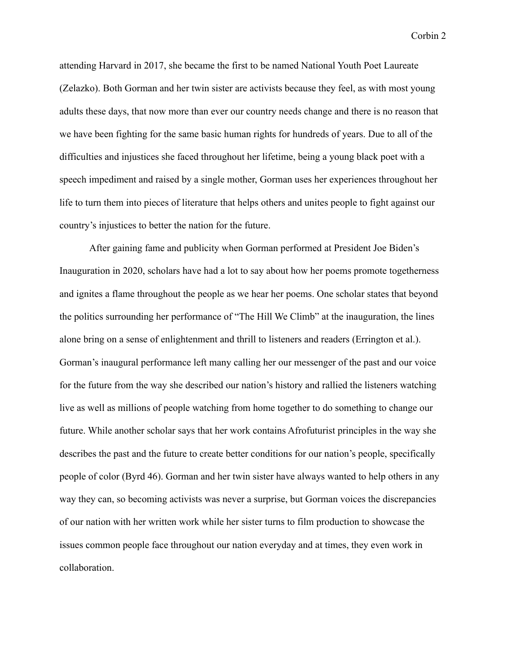attending Harvard in 2017, she became the first to be named National Youth Poet Laureate (Zelazko). Both Gorman and her twin sister are activists because they feel, as with most young adults these days, that now more than ever our country needs change and there is no reason that we have been fighting for the same basic human rights for hundreds of years. Due to all of the difficulties and injustices she faced throughout her lifetime, being a young black poet with a speech impediment and raised by a single mother, Gorman uses her experiences throughout her life to turn them into pieces of literature that helps others and unites people to fight against our country's injustices to better the nation for the future.

After gaining fame and publicity when Gorman performed at President Joe Biden's Inauguration in 2020, scholars have had a lot to say about how her poems promote togetherness and ignites a flame throughout the people as we hear her poems. One scholar states that beyond the politics surrounding her performance of "The Hill We Climb" at the inauguration, the lines alone bring on a sense of enlightenment and thrill to listeners and readers (Errington et al.). Gorman's inaugural performance left many calling her our messenger of the past and our voice for the future from the way she described our nation's history and rallied the listeners watching live as well as millions of people watching from home together to do something to change our future. While another scholar says that her work contains Afrofuturist principles in the way she describes the past and the future to create better conditions for our nation's people, specifically people of color (Byrd 46). Gorman and her twin sister have always wanted to help others in any way they can, so becoming activists was never a surprise, but Gorman voices the discrepancies of our nation with her written work while her sister turns to film production to showcase the issues common people face throughout our nation everyday and at times, they even work in collaboration.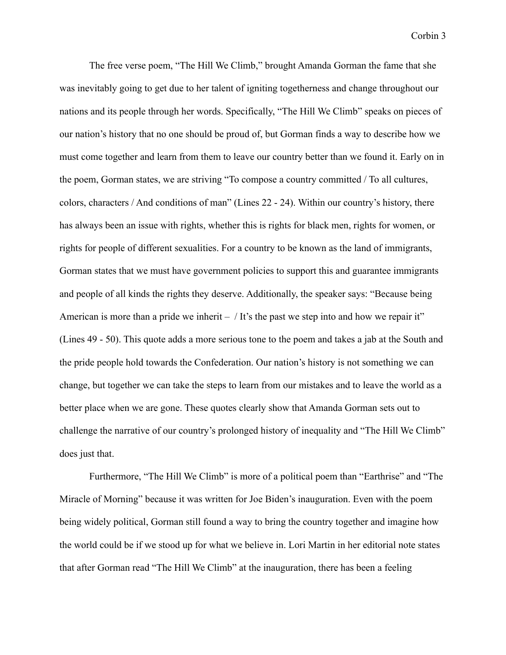The free verse poem, "The Hill We Climb," brought Amanda Gorman the fame that she was inevitably going to get due to her talent of igniting togetherness and change throughout our nations and its people through her words. Specifically, "The Hill We Climb" speaks on pieces of our nation's history that no one should be proud of, but Gorman finds a way to describe how we must come together and learn from them to leave our country better than we found it. Early on in the poem, Gorman states, we are striving "To compose a country committed / To all cultures, colors, characters / And conditions of man" (Lines 22 - 24). Within our country's history, there has always been an issue with rights, whether this is rights for black men, rights for women, or rights for people of different sexualities. For a country to be known as the land of immigrants, Gorman states that we must have government policies to support this and guarantee immigrants and people of all kinds the rights they deserve. Additionally, the speaker says: "Because being American is more than a pride we inherit  $-$  / It's the past we step into and how we repair it" (Lines 49 - 50). This quote adds a more serious tone to the poem and takes a jab at the South and the pride people hold towards the Confederation. Our nation's history is not something we can change, but together we can take the steps to learn from our mistakes and to leave the world as a better place when we are gone. These quotes clearly show that Amanda Gorman sets out to challenge the narrative of our country's prolonged history of inequality and "The Hill We Climb" does just that.

Furthermore, "The Hill We Climb" is more of a political poem than "Earthrise" and "The Miracle of Morning" because it was written for Joe Biden's inauguration. Even with the poem being widely political, Gorman still found a way to bring the country together and imagine how the world could be if we stood up for what we believe in. Lori Martin in her editorial note states that after Gorman read "The Hill We Climb" at the inauguration, there has been a feeling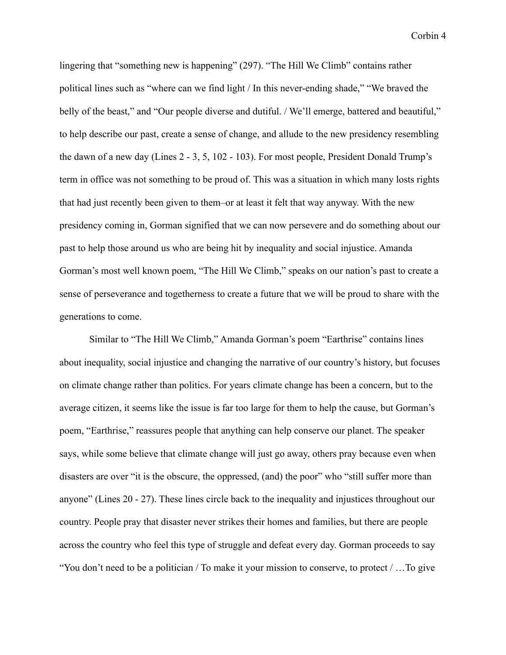lingering that "something new is happening" (297). "The Hill We Climb" contains rather political lines such as "where can we find light / In this never-ending shade," "We braved the belly of the beast," and "Our people diverse and dutiful. / We'll emerge, battered and beautiful," to help describe our past, create a sense of change, and allude to the new presidency resembling the dawn of a new day (Lines 2 - 3, 5, 102 - 103). For most people, President Donald Trump's term in office was not something to be proud of. This was a situation in which many losts rights that had just recently been given to them–or at least it felt that way anyway. With the new presidency coming in, Gorman signified that we can now persevere and do something about our past to help those around us who are being hit by inequality and social injustice. Amanda Gorman's most well known poem, "The Hill We Climb," speaks on our nation's past to create a sense of perseverance and togetherness to create a future that we will be proud to share with the generations to come.

Similar to "The Hill We Climb," Amanda Gorman's poem "Earthrise" contains lines about inequality, social injustice and changing the narrative of our country's history, but focuses on climate change rather than politics. For years climate change has been a concern, but to the average citizen, it seems like the issue is far too large for them to help the cause, but Gorman's poem, "Earthrise," reassures people that anything can help conserve our planet. The speaker says, while some believe that climate change will just go away, others pray because even when disasters are over "it is the obscure, the oppressed, (and) the poor" who "still suffer more than anyone" (Lines 20 - 27). These lines circle back to the inequality and injustices throughout our country. People pray that disaster never strikes their homes and families, but there are people across the country who feel this type of struggle and defeat every day. Gorman proceeds to say "You don't need to be a politician / To make it your mission to conserve, to protect / …To give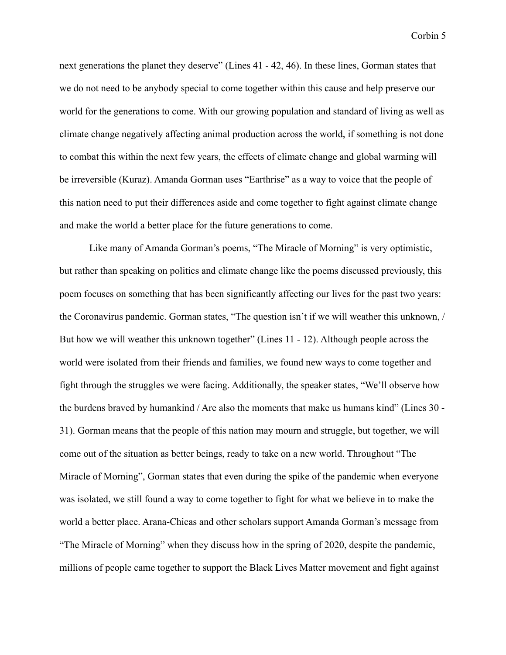next generations the planet they deserve" (Lines 41 - 42, 46). In these lines, Gorman states that we do not need to be anybody special to come together within this cause and help preserve our world for the generations to come. With our growing population and standard of living as well as climate change negatively affecting animal production across the world, if something is not done to combat this within the next few years, the effects of climate change and global warming will be irreversible (Kuraz). Amanda Gorman uses "Earthrise" as a way to voice that the people of this nation need to put their differences aside and come together to fight against climate change and make the world a better place for the future generations to come.

Like many of Amanda Gorman's poems, "The Miracle of Morning" is very optimistic, but rather than speaking on politics and climate change like the poems discussed previously, this poem focuses on something that has been significantly affecting our lives for the past two years: the Coronavirus pandemic. Gorman states, "The question isn't if we will weather this unknown, / But how we will weather this unknown together" (Lines 11 - 12). Although people across the world were isolated from their friends and families, we found new ways to come together and fight through the struggles we were facing. Additionally, the speaker states, "We'll observe how the burdens braved by humankind / Are also the moments that make us humans kind" (Lines 30 - 31). Gorman means that the people of this nation may mourn and struggle, but together, we will come out of the situation as better beings, ready to take on a new world. Throughout "The Miracle of Morning", Gorman states that even during the spike of the pandemic when everyone was isolated, we still found a way to come together to fight for what we believe in to make the world a better place. Arana-Chicas and other scholars support Amanda Gorman's message from "The Miracle of Morning" when they discuss how in the spring of 2020, despite the pandemic, millions of people came together to support the Black Lives Matter movement and fight against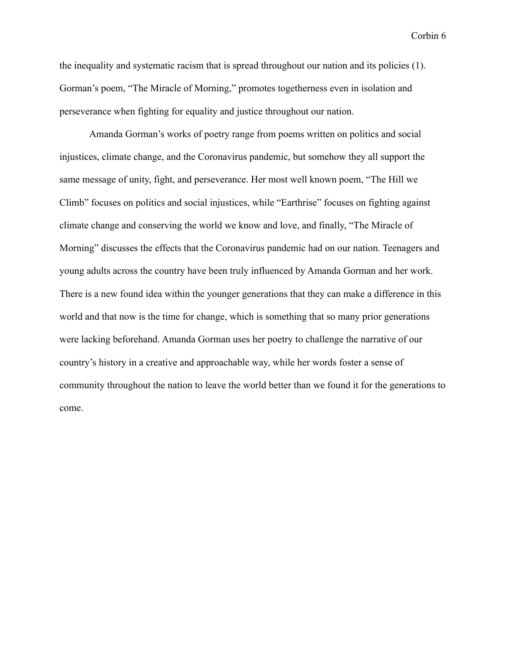the inequality and systematic racism that is spread throughout our nation and its policies (1). Gorman's poem, "The Miracle of Morning," promotes togetherness even in isolation and perseverance when fighting for equality and justice throughout our nation.

Amanda Gorman's works of poetry range from poems written on politics and social injustices, climate change, and the Coronavirus pandemic, but somehow they all support the same message of unity, fight, and perseverance. Her most well known poem, "The Hill we Climb" focuses on politics and social injustices, while "Earthrise" focuses on fighting against climate change and conserving the world we know and love, and finally, "The Miracle of Morning" discusses the effects that the Coronavirus pandemic had on our nation. Teenagers and young adults across the country have been truly influenced by Amanda Gorman and her work. There is a new found idea within the younger generations that they can make a difference in this world and that now is the time for change, which is something that so many prior generations were lacking beforehand. Amanda Gorman uses her poetry to challenge the narrative of our country's history in a creative and approachable way, while her words foster a sense of community throughout the nation to leave the world better than we found it for the generations to come.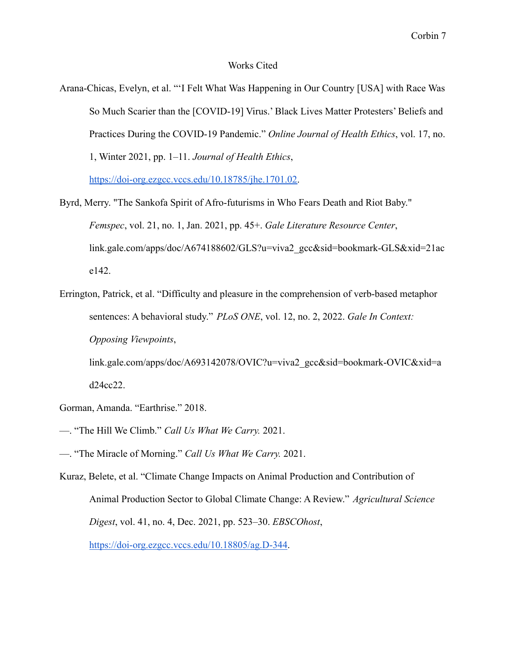#### Works Cited

Arana-Chicas, Evelyn, et al. "'I Felt What Was Happening in Our Country [USA] with Race Was So Much Scarier than the [COVID-19] Virus.' Black Lives Matter Protesters' Beliefs and Practices During the COVID-19 Pandemic." *Online Journal of Health Ethics*, vol. 17, no. 1, Winter 2021, pp. 1–11. *Journal of Health Ethics*,

[https://doi-org.ezgcc.vccs.edu/10.18785/jhe.1701.02.](https://doi-org.ezgcc.vccs.edu/10.18785/jhe.1701.02)

- Byrd, Merry. "The Sankofa Spirit of Afro-futurisms in Who Fears Death and Riot Baby." *Femspec*, vol. 21, no. 1, Jan. 2021, pp. 45+. *Gale Literature Resource Center*, link.gale.com/apps/doc/A674188602/GLS?u=viva2\_gcc&sid=bookmark-GLS&xid=21ac e142.
- Errington, Patrick, et al. "Difficulty and pleasure in the comprehension of verb-based metaphor sentences: A behavioral study." *PLoS ONE*, vol. 12, no. 2, 2022. *Gale In Context: Opposing Viewpoints*, link.gale.com/apps/doc/A693142078/OVIC?u=viva2\_gcc&sid=bookmark-OVIC&xid=a

d24cc22.

- Gorman, Amanda. "Earthrise." 2018.
- —. "The Hill We Climb." *Call Us What We Carry.* 2021.
- —. "The Miracle of Morning." *Call Us What We Carry.* 2021.
- Kuraz, Belete, et al. "Climate Change Impacts on Animal Production and Contribution of Animal Production Sector to Global Climate Change: A Review." *Agricultural Science Digest*, vol. 41, no. 4, Dec. 2021, pp. 523–30. *EBSCOhost*,

<https://doi-org.ezgcc.vccs.edu/10.18805/ag.D-344>.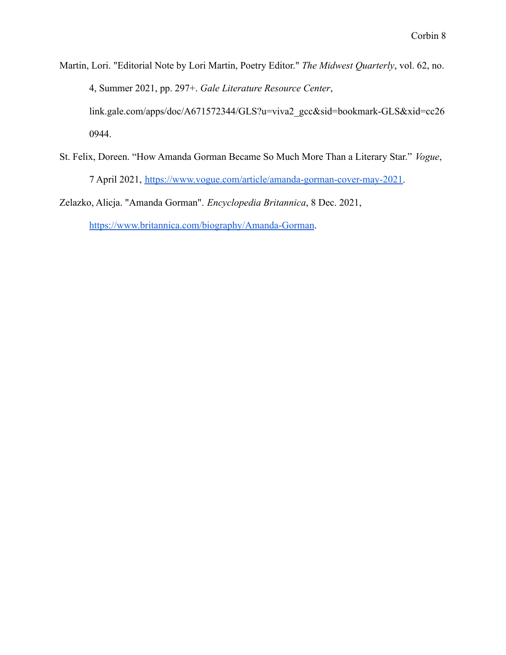Martin, Lori. "Editorial Note by Lori Martin, Poetry Editor." *The Midwest Quarterly*, vol. 62, no. 4, Summer 2021, pp. 297+. *Gale Literature Resource Center*, link.gale.com/apps/doc/A671572344/GLS?u=viva2\_gcc&sid=bookmark-GLS&xid=cc26

St. Felix, Doreen. "How Amanda Gorman Became So Much More Than a Literary Star." *Vogue*, 7 April 2021, [https://www.vogue.com/article/amanda-gorman-cover-may-2021.](https://www.vogue.com/article/amanda-gorman-cover-may-2021)

Zelazko, Alicja. "Amanda Gorman". *Encyclopedia Britannica*, 8 Dec. 2021,

<https://www.britannica.com/biography/Amanda-Gorman>.

0944.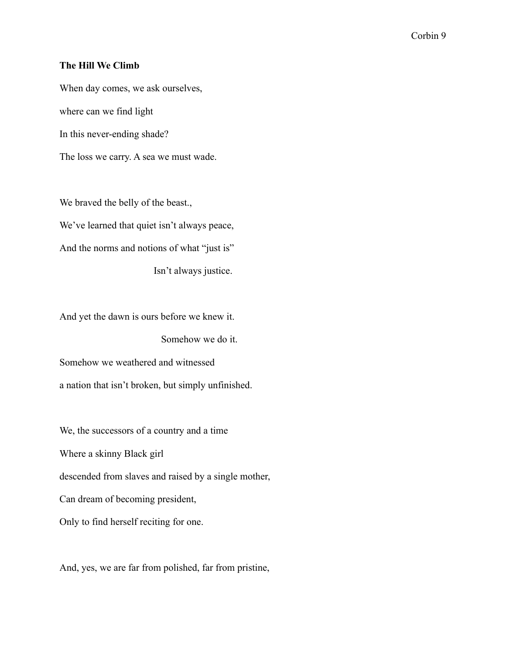## **The Hill We Climb**

When day comes, we ask ourselves, where can we find light In this never-ending shade? The loss we carry. A sea we must wade.

We braved the belly of the beast., We've learned that quiet isn't always peace, And the norms and notions of what "just is" Isn't always justice.

And yet the dawn is ours before we knew it.

Somehow we do it.

Somehow we weathered and witnessed a nation that isn't broken, but simply unfinished.

We, the successors of a country and a time Where a skinny Black girl descended from slaves and raised by a single mother, Can dream of becoming president, Only to find herself reciting for one.

And, yes, we are far from polished, far from pristine,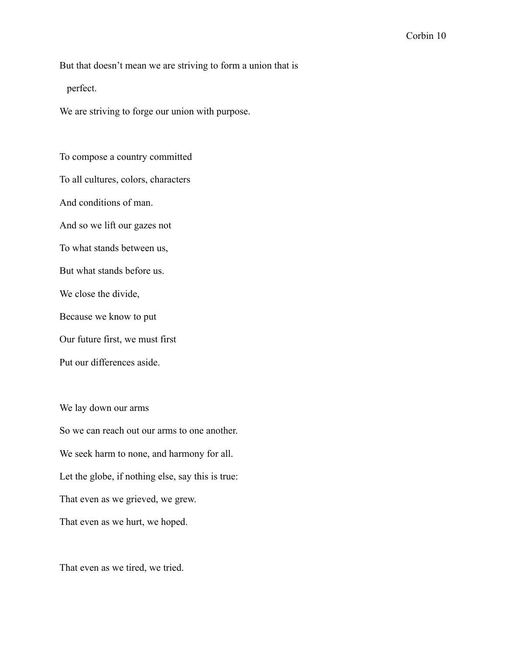But that doesn't mean we are striving to form a union that is

perfect.

We are striving to forge our union with purpose.

To compose a country committed To all cultures, colors, characters And conditions of man. And so we lift our gazes not To what stands between us, But what stands before us. We close the divide, Because we know to put Our future first, we must first Put our differences aside.

We lay down our arms So we can reach out our arms to one another. We seek harm to none, and harmony for all. Let the globe, if nothing else, say this is true: That even as we grieved, we grew. That even as we hurt, we hoped.

That even as we tired, we tried.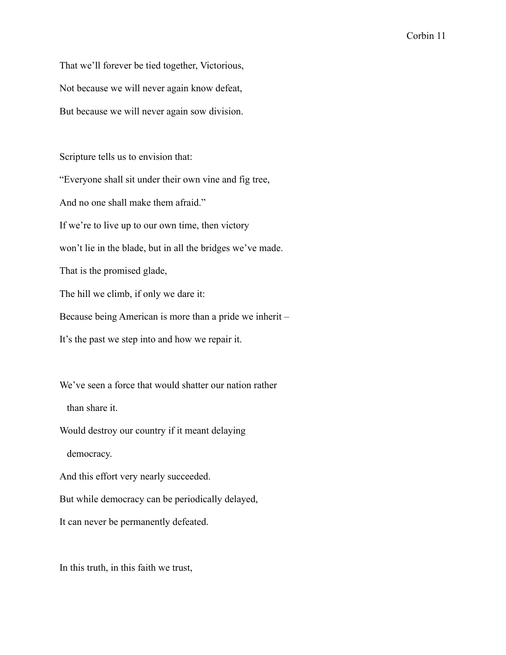That we'll forever be tied together, Victorious, Not because we will never again know defeat, But because we will never again sow division.

Scripture tells us to envision that:

"Everyone shall sit under their own vine and fig tree,

And no one shall make them afraid."

If we're to live up to our own time, then victory

won't lie in the blade, but in all the bridges we've made.

That is the promised glade,

The hill we climb, if only we dare it:

Because being American is more than a pride we inherit –

It's the past we step into and how we repair it.

We've seen a force that would shatter our nation rather

than share it.

Would destroy our country if it meant delaying

democracy.

And this effort very nearly succeeded.

But while democracy can be periodically delayed,

It can never be permanently defeated.

In this truth, in this faith we trust,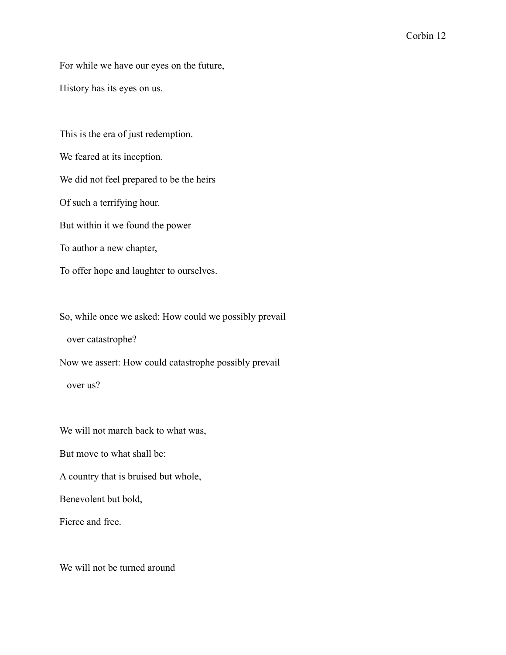For while we have our eyes on the future,

History has its eyes on us.

This is the era of just redemption. We feared at its inception. We did not feel prepared to be the heirs Of such a terrifying hour. But within it we found the power To author a new chapter, To offer hope and laughter to ourselves.

So, while once we asked: How could we possibly prevail

over catastrophe?

Now we assert: How could catastrophe possibly prevail over us?

We will not march back to what was,

But move to what shall be:

A country that is bruised but whole,

Benevolent but bold,

Fierce and free.

We will not be turned around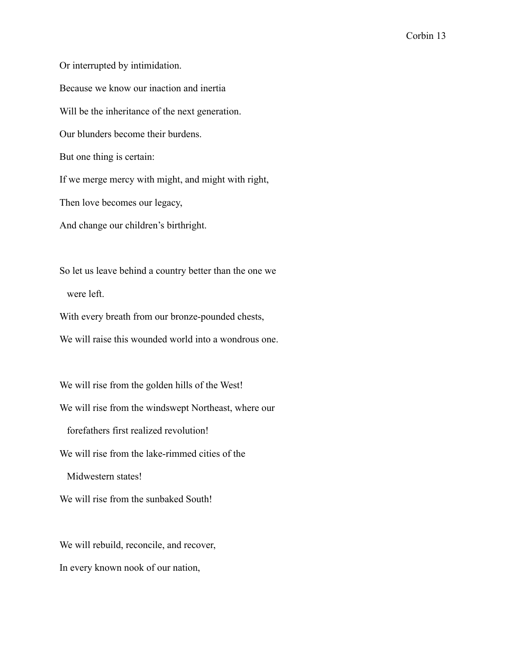Or interrupted by intimidation. Because we know our inaction and inertia Will be the inheritance of the next generation. Our blunders become their burdens. But one thing is certain: If we merge mercy with might, and might with right, Then love becomes our legacy, And change our children's birthright.

So let us leave behind a country better than the one we were left.

With every breath from our bronze-pounded chests,

We will raise this wounded world into a wondrous one.

We will rise from the golden hills of the West! We will rise from the windswept Northeast, where our forefathers first realized revolution! We will rise from the lake-rimmed cities of the Midwestern states!

We will rise from the sunbaked South!

We will rebuild, reconcile, and recover, In every known nook of our nation,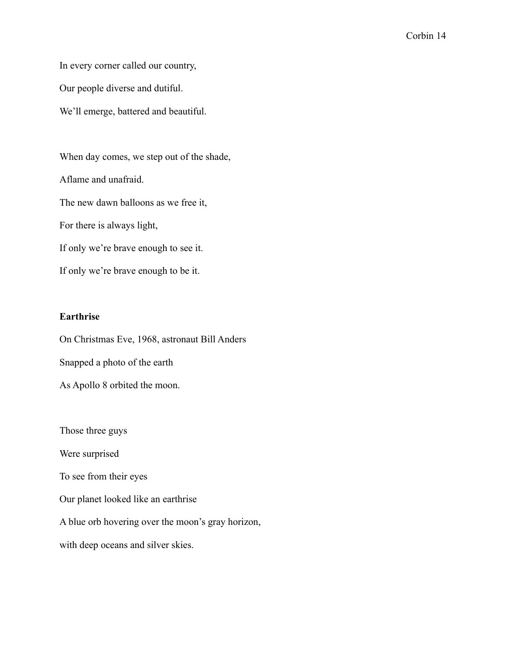In every corner called our country,

Our people diverse and dutiful.

We'll emerge, battered and beautiful.

When day comes, we step out of the shade, Aflame and unafraid. The new dawn balloons as we free it, For there is always light, If only we're brave enough to see it. If only we're brave enough to be it.

## **Earthrise**

On Christmas Eve, 1968, astronaut Bill Anders Snapped a photo of the earth As Apollo 8 orbited the moon.

Those three guys

Were surprised

To see from their eyes

Our planet looked like an earthrise

A blue orb hovering over the moon's gray horizon,

with deep oceans and silver skies.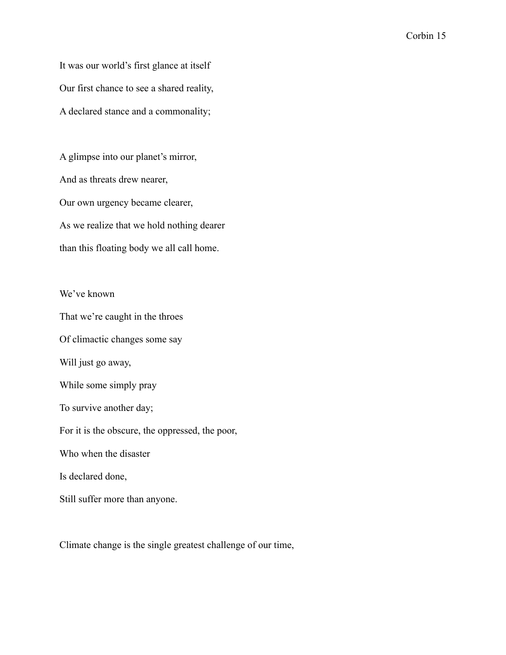It was our world's first glance at itself Our first chance to see a shared reality, A declared stance and a commonality;

A glimpse into our planet's mirror, And as threats drew nearer, Our own urgency became clearer, As we realize that we hold nothing dearer than this floating body we all call home.

## We've known

That we're caught in the throes

Of climactic changes some say

Will just go away,

While some simply pray

To survive another day;

For it is the obscure, the oppressed, the poor,

Who when the disaster

Is declared done,

Still suffer more than anyone.

Climate change is the single greatest challenge of our time,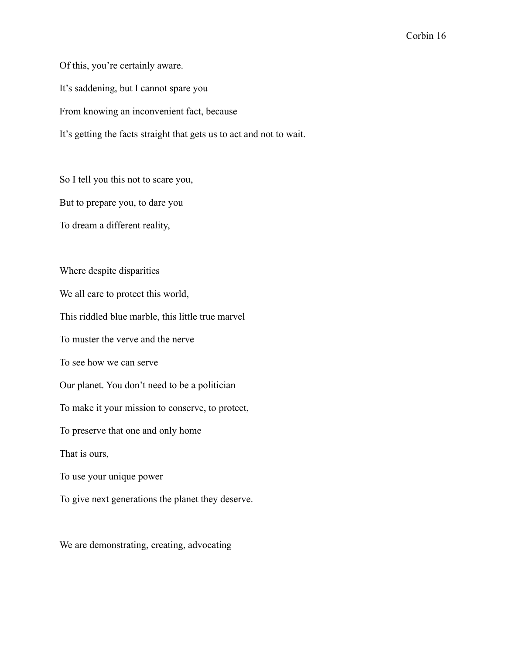Of this, you're certainly aware. It's saddening, but I cannot spare you From knowing an inconvenient fact, because It's getting the facts straight that gets us to act and not to wait.

So I tell you this not to scare you, But to prepare you, to dare you

To dream a different reality,

Where despite disparities We all care to protect this world, This riddled blue marble, this little true marvel To muster the verve and the nerve To see how we can serve Our planet. You don't need to be a politician To make it your mission to conserve, to protect, To preserve that one and only home That is ours, To use your unique power

To give next generations the planet they deserve.

We are demonstrating, creating, advocating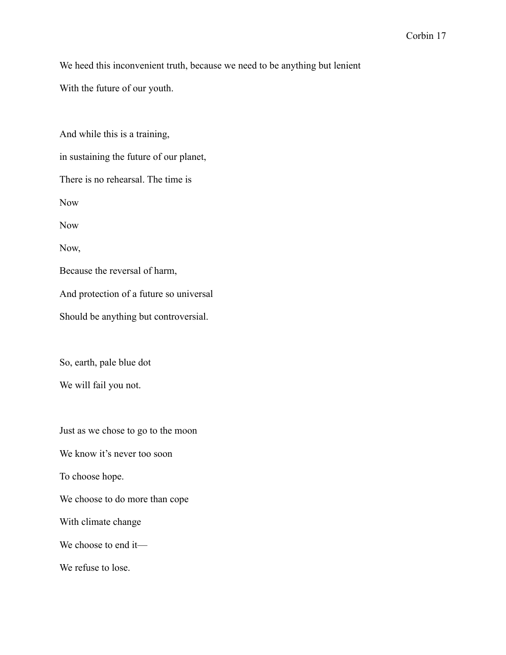We heed this inconvenient truth, because we need to be anything but lenient

With the future of our youth.

And while this is a training, in sustaining the future of our planet, There is no rehearsal. The time is Now Now Now, Because the reversal of harm, And protection of a future so universal Should be anything but controversial. So, earth, pale blue dot We will fail you not.

Just as we chose to go to the moon

We know it's never too soon

To choose hope.

We choose to do more than cope

With climate change

We choose to end it—

We refuse to lose.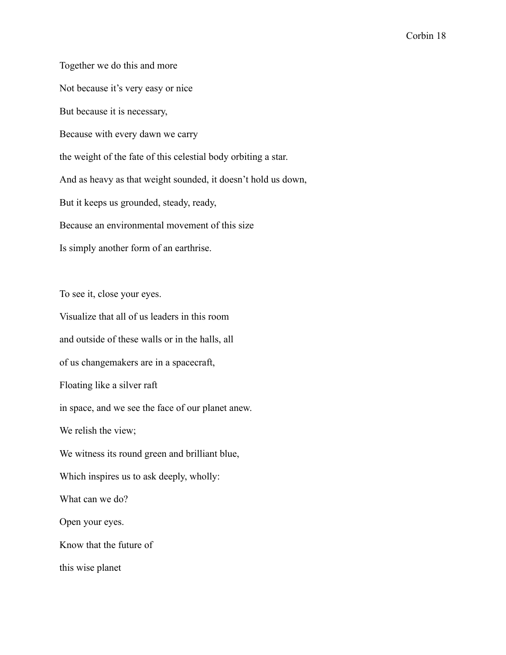Together we do this and more Not because it's very easy or nice But because it is necessary, Because with every dawn we carry the weight of the fate of this celestial body orbiting a star. And as heavy as that weight sounded, it doesn't hold us down, But it keeps us grounded, steady, ready, Because an environmental movement of this size Is simply another form of an earthrise.

To see it, close your eyes.

Visualize that all of us leaders in this room and outside of these walls or in the halls, all of us changemakers are in a spacecraft, Floating like a silver raft in space, and we see the face of our planet anew. We relish the view; We witness its round green and brilliant blue, Which inspires us to ask deeply, wholly: What can we do? Open your eyes. Know that the future of this wise planet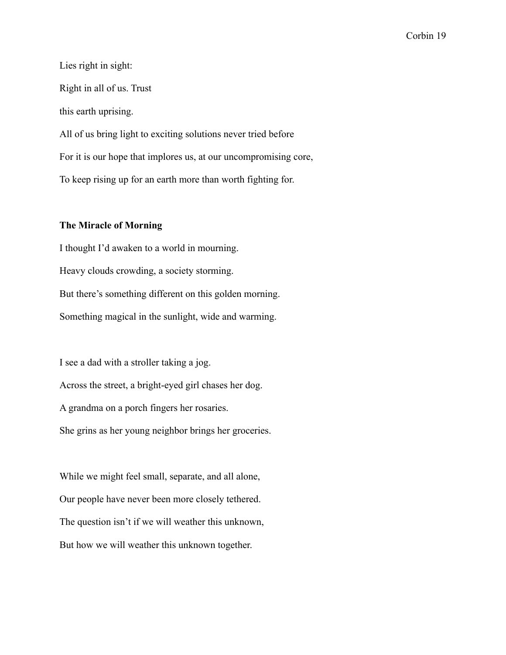Lies right in sight: Right in all of us. Trust this earth uprising. All of us bring light to exciting solutions never tried before For it is our hope that implores us, at our uncompromising core, To keep rising up for an earth more than worth fighting for.

## **The Miracle of Morning**

I thought I'd awaken to a world in mourning. Heavy clouds crowding, a society storming. But there's something different on this golden morning. Something magical in the sunlight, wide and warming.

I see a dad with a stroller taking a jog. Across the street, a bright-eyed girl chases her dog. A grandma on a porch fingers her rosaries. She grins as her young neighbor brings her groceries.

While we might feel small, separate, and all alone, Our people have never been more closely tethered. The question isn't if we will weather this unknown, But how we will weather this unknown together.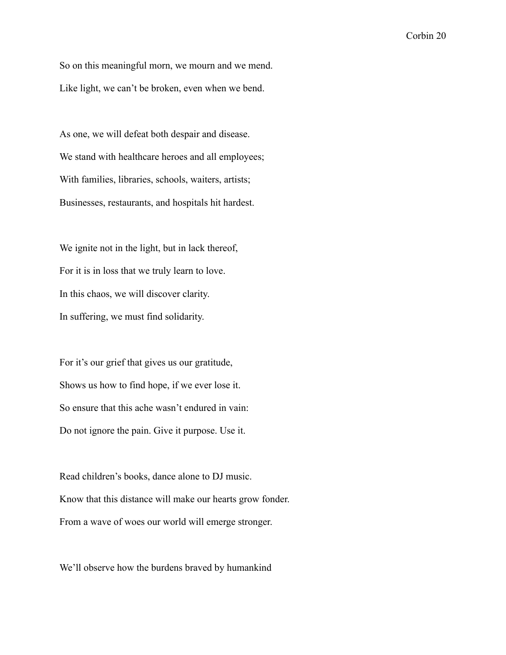So on this meaningful morn, we mourn and we mend. Like light, we can't be broken, even when we bend.

As one, we will defeat both despair and disease. We stand with healthcare heroes and all employees; With families, libraries, schools, waiters, artists; Businesses, restaurants, and hospitals hit hardest.

We ignite not in the light, but in lack thereof, For it is in loss that we truly learn to love. In this chaos, we will discover clarity. In suffering, we must find solidarity.

For it's our grief that gives us our gratitude, Shows us how to find hope, if we ever lose it. So ensure that this ache wasn't endured in vain: Do not ignore the pain. Give it purpose. Use it.

Read children's books, dance alone to DJ music. Know that this distance will make our hearts grow fonder. From a wave of woes our world will emerge stronger.

We'll observe how the burdens braved by humankind